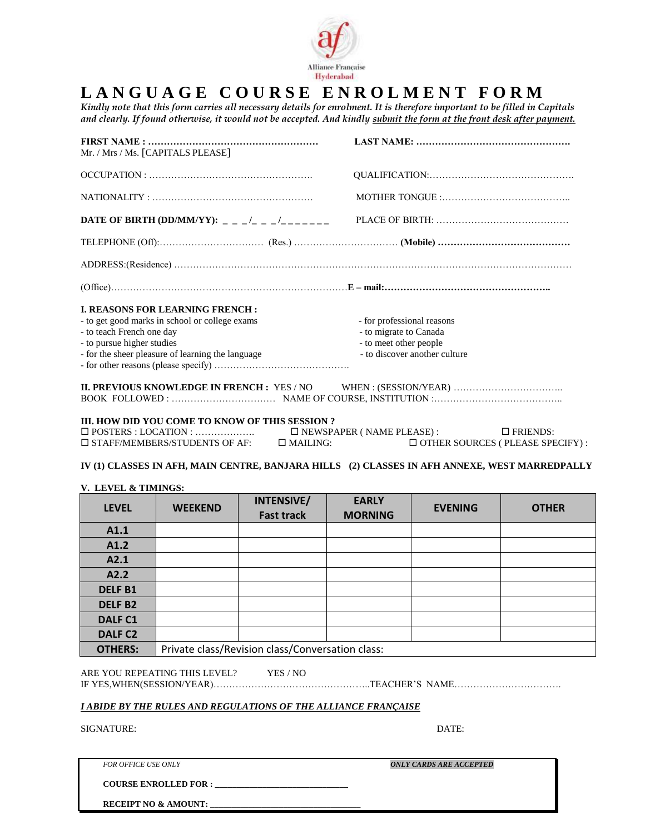

# **L A N G U A G E C O U R S E E N R O L M E N T F O R M**

*Kindly note that this form carries all necessary details for enrolment. It is therefore important to be filled in Capitals and clearly. If found otherwise, it would not be accepted. And kindly submit the form at the front desk after payment.* 

| Mr. / Mrs / Ms. [CAPITALS PLEASE]                                                                                                                                                                        |                                                                                                                 |
|----------------------------------------------------------------------------------------------------------------------------------------------------------------------------------------------------------|-----------------------------------------------------------------------------------------------------------------|
|                                                                                                                                                                                                          |                                                                                                                 |
| NATIONALITY:                                                                                                                                                                                             |                                                                                                                 |
| DATE OF BIRTH (DD/MM/YY): _ _ _/_ _ _/_ _ _/____                                                                                                                                                         |                                                                                                                 |
|                                                                                                                                                                                                          |                                                                                                                 |
|                                                                                                                                                                                                          |                                                                                                                 |
|                                                                                                                                                                                                          |                                                                                                                 |
| <b>I. REASONS FOR LEARNING FRENCH:</b><br>- to get good marks in school or college exams<br>- to teach French one day<br>- to pursue higher studies<br>- for the sheer pleasure of learning the language | - for professional reasons<br>- to migrate to Canada<br>- to meet other people<br>- to discover another culture |
|                                                                                                                                                                                                          |                                                                                                                 |
| III. HOW DID YOU COME TO KNOW OF THIS SESSION?<br>$\Box$ STAFF/MEMBERS/STUDENTS OF AF: $\Box$ MAILING:                                                                                                   | $\square$ NEWSPAPER (NAME PLEASE):<br>$\Box$ FRIENDS:<br>$\Box$ OTHER SOURCES (PLEASE SPECIFY)                  |

# **IV (1) CLASSES IN AFH, MAIN CENTRE, BANJARA HILLS (2) CLASSES IN AFH ANNEXE, WEST MARREDPALLY**

# **V. LEVEL & TIMINGS:**

| <b>LEVEL</b>       | <b>WEEKEND</b>                                   | INTENSIVE/<br><b>Fast track</b> | <b>EARLY</b><br><b>MORNING</b> | <b>EVENING</b> | <b>OTHER</b> |
|--------------------|--------------------------------------------------|---------------------------------|--------------------------------|----------------|--------------|
| A1.1               |                                                  |                                 |                                |                |              |
| A1.2               |                                                  |                                 |                                |                |              |
| A2.1               |                                                  |                                 |                                |                |              |
| A2.2               |                                                  |                                 |                                |                |              |
| <b>DELFB1</b>      |                                                  |                                 |                                |                |              |
| <b>DELFB2</b>      |                                                  |                                 |                                |                |              |
| <b>DALF C1</b>     |                                                  |                                 |                                |                |              |
| DALF <sub>C2</sub> |                                                  |                                 |                                |                |              |
| <b>OTHERS:</b>     | Private class/Revision class/Conversation class: |                                 |                                |                |              |

ARE YOU REPEATING THIS LEVEL? YES / NO IF YES,WHEN(SESSION/YEAR)…………………………………………..TEACHER'S NAME…………………………….

#### *I ABIDE BY THE RULES AND REGULATIONS OF THE ALLIANCE FRANÇAISE*

| <b>SIGNATURE:</b> | DATE: |
|-------------------|-------|
|-------------------|-------|

**COURSE ENROLLED FOR : \_\_\_\_\_\_\_\_\_\_\_\_\_\_\_\_\_\_\_\_\_\_\_\_\_\_\_\_\_\_\_** 

RECEIPT NO & AMOUNT:

*FOR OFFICE USE ONLY ONLY CARDS ARE ACCEPTED*